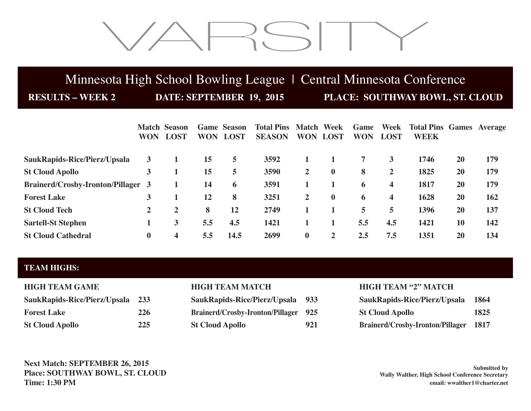# VARSITY

# Minnesota High School Bowling League | Central Minnesota Conference

**RESULTS – WEEK 2 DATE: SEPTEMBER 19, 2015 PLACE: SOUTHWAY BOWL, ST. CLOUD**

|                                           | <b>WON</b> | <b>Match Season</b><br><b>LOST</b> | <b>WON</b> | <b>Game Season</b><br><b>LOST</b> | <b>Total Pins Match Week</b><br><b>SEASON</b> | <b>WON</b>     | <b>LOST</b>  | Game<br><b>WON</b> | Week<br><b>LOST</b> | <b>Total Pins Games Average</b><br><b>WEEK</b> |           |     |
|-------------------------------------------|------------|------------------------------------|------------|-----------------------------------|-----------------------------------------------|----------------|--------------|--------------------|---------------------|------------------------------------------------|-----------|-----|
| SaukRapids-Rice/Pierz/Upsala              | 3          |                                    | 15         | 5                                 | 3592                                          |                |              | 7                  | 3                   | 1746                                           | 20        | 179 |
| <b>St Cloud Apollo</b>                    | 3          |                                    | 15         | 5                                 | 3590                                          | $\mathbf{2}$   | $\bf{0}$     | 8                  | $\overline{2}$      | 1825                                           | 20        | 179 |
| <b>Brainerd/Crosby-Ironton/Pillager 3</b> |            |                                    | 14         | 6                                 | 3591                                          |                |              | 6                  | 4                   | 1817                                           | 20        | 179 |
| <b>Forest Lake</b>                        | 3          |                                    | 12         | 8                                 | 3251                                          | $\overline{2}$ | $\bf{0}$     | 6                  | 4                   | 1628                                           | 20        | 162 |
| <b>St Cloud Tech</b>                      | 2          | 2                                  | 8          | 12                                | 2749                                          |                |              | 5                  | 5.                  | 1396                                           | <b>20</b> | 137 |
| <b>Sartell-St Stephen</b>                 |            | 3                                  | 5.5        | 4.5                               | 1421                                          |                |              | 5.5                | 4.5                 | 1421                                           | 10        | 142 |
| <b>St Cloud Cathedral</b>                 | $\bf{0}$   | 4                                  | 5.5        | 14.5                              | 2699                                          | $\bf{0}$       | $\mathbf{2}$ | 2.5                | 7.5                 | 1351                                           | 20        | 134 |

## **TEAM HIGHS:**

| <b>HIGH TEAM GAME</b>        |     |
|------------------------------|-----|
| SaukRapids-Rice/Pierz/Upsala | 233 |
| <b>Forest Lake</b>           | 226 |
| <b>St Cloud Apollo</b>       | 225 |

**SaukRapids-Rice/Pierz/Upsala 933 Brainerd/Crosby-Ironton/Pillager** 925 **St Cloud Apollo 921** 

## **HIGH TEAM MATCH HIGH TEAM "2" MATCH**

| SaukRapids-Rice/Pierz/Upsala 1864            |      |
|----------------------------------------------|------|
| <b>St Cloud Apollo</b>                       | 1825 |
| <b>Brainerd/Crosby-Ironton/Pillager 1817</b> |      |

**Next Match: SEPTEMBER 26, 2015 Place: SOUTHWAY BOWL, ST. CLOUD Time: 1:30 PM**